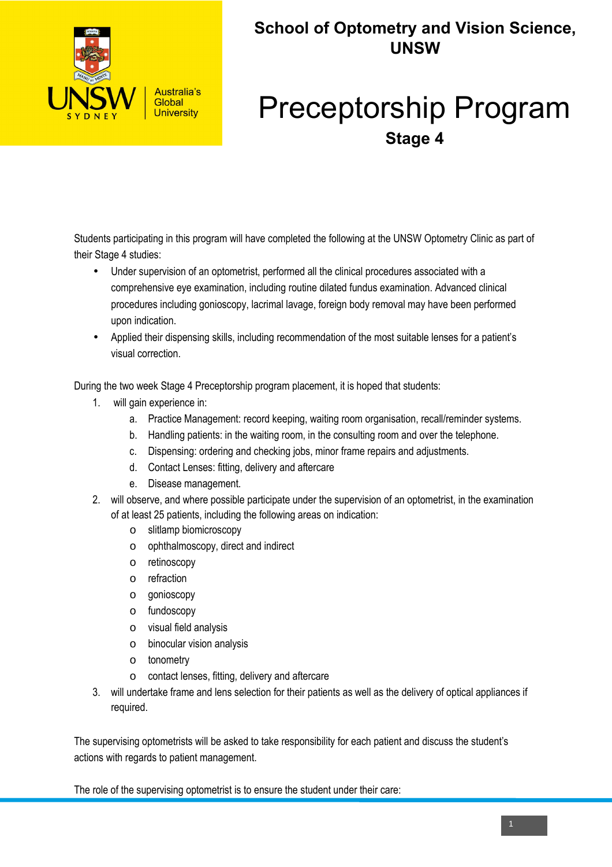

## **School of Optometry and Vision Science, UNSW**

## Preceptorship Program **Stage 4**

Students participating in this program will have completed the following at the UNSW Optometry Clinic as part of their Stage 4 studies:

- Under supervision of an optometrist, performed all the clinical procedures associated with a comprehensive eye examination, including routine dilated fundus examination. Advanced clinical procedures including gonioscopy, lacrimal lavage, foreign body removal may have been performed upon indication.
- Applied their dispensing skills, including recommendation of the most suitable lenses for a patient's visual correction.

During the two week Stage 4 Preceptorship program placement, it is hoped that students:

- 1. will gain experience in:
	- a. Practice Management: record keeping, waiting room organisation, recall/reminder systems.
	- b. Handling patients: in the waiting room, in the consulting room and over the telephone.
	- c. Dispensing: ordering and checking jobs, minor frame repairs and adjustments.
	- d. Contact Lenses: fitting, delivery and aftercare
	- e. Disease management.
- 2. will observe, and where possible participate under the supervision of an optometrist, in the examination of at least 25 patients, including the following areas on indication:
	- o slitlamp biomicroscopy
	- o ophthalmoscopy, direct and indirect
	- o retinoscopy
	- o refraction
	- o gonioscopy
	- o fundoscopy
	- o visual field analysis
	- o binocular vision analysis
	- o tonometry
	- o contact lenses, fitting, delivery and aftercare
- 3. will undertake frame and lens selection for their patients as well as the delivery of optical appliances if required.

The supervising optometrists will be asked to take responsibility for each patient and discuss the student's actions with regards to patient management.

The role of the supervising optometrist is to ensure the student under their care: